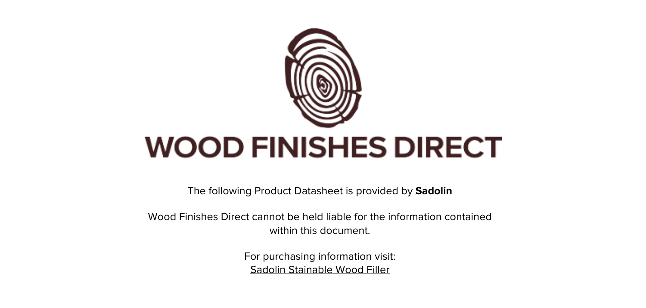

The following Product Datasheet is provided by **Sadolin**

Wood Finishes Direct cannot be held liable for the information contained within this document.

> For purchasing information visit: [Sadolin Stainable Wood Filler](https://www.wood-finishes-direct.com/product/sadolin-stainable-wood-filler)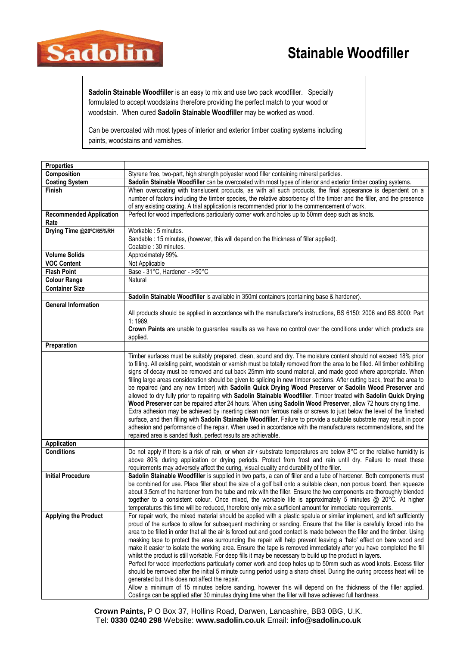## **Stainable Woodfiller**



Sadolin Stainable Woodfiller is an easy to mix and use two pack woodfiller. Specially formulated to accept woodstains therefore providing the perfect match to your wood or woodstain. When cured Sadolin Stainable Woodfiller may be worked as wood.

Can be overcoated with most types of interior and exterior timber coating systems including paints, woodstains and varnishes.

| <b>Properties</b>              |                                                                                                                                                                                                                                                  |
|--------------------------------|--------------------------------------------------------------------------------------------------------------------------------------------------------------------------------------------------------------------------------------------------|
| Composition                    | Styrene free, two-part, high strength polyester wood filler containing mineral particles.                                                                                                                                                        |
| <b>Coating System</b>          | Sadolin Stainable Woodfiller can be overcoated with most types of interior and exterior timber coating systems.                                                                                                                                  |
| <b>Finish</b>                  | When overcoating with translucent products, as with all such products, the final appearance is dependent on a                                                                                                                                    |
|                                | number of factors including the timber species, the relative absorbency of the timber and the filler, and the presence                                                                                                                           |
|                                | of any existing coating. A trial application is recommended prior to the commencement of work.                                                                                                                                                   |
| <b>Recommended Application</b> | Perfect for wood imperfections particularly corner work and holes up to 50mm deep such as knots.                                                                                                                                                 |
| Rate                           |                                                                                                                                                                                                                                                  |
| Drying Time @20°C/65%RH        | Workable: 5 minutes.                                                                                                                                                                                                                             |
|                                | Sandable : 15 minutes, (however, this will depend on the thickness of filler applied).                                                                                                                                                           |
|                                | Coatable : 30 minutes.                                                                                                                                                                                                                           |
| <b>Volume Solids</b>           | Approximately 99%.                                                                                                                                                                                                                               |
| <b>VOC Content</b>             | Not Applicable                                                                                                                                                                                                                                   |
| <b>Flash Point</b>             | Base - 31°C, Hardener - >50°C                                                                                                                                                                                                                    |
| <b>Colour Range</b>            | Natural                                                                                                                                                                                                                                          |
| <b>Container Size</b>          |                                                                                                                                                                                                                                                  |
|                                | Sadolin Stainable Woodfiller is available in 350ml containers (containing base & hardener).                                                                                                                                                      |
| <b>General Information</b>     |                                                                                                                                                                                                                                                  |
|                                | All products should be applied in accordance with the manufacturer's instructions, BS 6150: 2006 and BS 8000: Part                                                                                                                               |
|                                | 1:1989.                                                                                                                                                                                                                                          |
|                                | Crown Paints are unable to guarantee results as we have no control over the conditions under which products are                                                                                                                                  |
|                                | applied.                                                                                                                                                                                                                                         |
| Preparation                    |                                                                                                                                                                                                                                                  |
|                                | Timber surfaces must be suitably prepared, clean, sound and dry. The moisture content should not exceed 18% prior                                                                                                                                |
|                                | to filling. All existing paint, woodstain or varnish must be totally removed from the area to be filled. All timber exhibiting                                                                                                                   |
|                                | signs of decay must be removed and cut back 25mm into sound material, and made good where appropriate. When                                                                                                                                      |
|                                | filling large areas consideration should be given to splicing in new timber sections. After cutting back, treat the area to                                                                                                                      |
|                                | be repaired (and any new timber) with Sadolin Quick Drying Wood Preserver or Sadolin Wood Preserver and                                                                                                                                          |
|                                | allowed to dry fully prior to repairing with Sadolin Stainable Woodfiller. Timber treated with Sadolin Quick Drying                                                                                                                              |
|                                | Wood Preserver can be repaired after 24 hours. When using Sadolin Wood Preserver, allow 72 hours drying time.                                                                                                                                    |
|                                | Extra adhesion may be achieved by inserting clean non ferrous nails or screws to just below the level of the finished<br>surface, and then filling with Sadolin Stainable Woodfiller. Failure to provide a suitable substrate may result in poor |
|                                | adhesion and performance of the repair. When used in accordance with the manufacturers recommendations, and the                                                                                                                                  |
|                                | repaired area is sanded flush, perfect results are achievable.                                                                                                                                                                                   |
| Application                    |                                                                                                                                                                                                                                                  |
| <b>Conditions</b>              | Do not apply if there is a risk of rain, or when air / substrate temperatures are below 8°C or the relative humidity is                                                                                                                          |
|                                | above 80% during application or drying periods. Protect from frost and rain until dry. Failure to meet these                                                                                                                                     |
|                                | requirements may adversely affect the curing, visual quality and durability of the filler.                                                                                                                                                       |
| <b>Initial Procedure</b>       | Sadolin Stainable Woodfiller is supplied in two parts, a can of filler and a tube of hardener. Both components must                                                                                                                              |
|                                | be combined for use. Place filler about the size of a golf ball onto a suitable clean, non porous board, then squeeze                                                                                                                            |
|                                | about 3.5cm of the hardener from the tube and mix with the filler. Ensure the two components are thoroughly blended                                                                                                                              |
|                                | together to a consistent colour. Once mixed, the workable life is approximately 5 minutes @ 20°C. At higher                                                                                                                                      |
|                                | temperatures this time will be reduced, therefore only mix a sufficient amount for immediate requirements.                                                                                                                                       |
| <b>Applying the Product</b>    | For repair work, the mixed material should be applied with a plastic spatula or similar implement, and left sufficiently                                                                                                                         |
|                                | proud of the surface to allow for subsequent machining or sanding. Ensure that the filler is carefully forced into the                                                                                                                           |
|                                | area to be filled in order that all the air is forced out and good contact is made between the filler and the timber. Using                                                                                                                      |
|                                | masking tape to protect the area surrounding the repair will help prevent leaving a 'halo' effect on bare wood and                                                                                                                               |
|                                | make it easier to isolate the working area. Ensure the tape is removed immediately after you have completed the fill                                                                                                                             |
|                                | whilst the product is still workable. For deep fills it may be necessary to build up the product in layers.                                                                                                                                      |
|                                | Perfect for wood imperfections particularly corner work and deep holes up to 50mm such as wood knots. Excess filler                                                                                                                              |
|                                | should be removed after the initial 5 minute curing period using a sharp chisel. During the curing process heat will be                                                                                                                          |
|                                | generated but this does not affect the repair.<br>Allow a minimum of 15 minutes before sanding, however this will depend on the thickness of the filler applied.                                                                                 |
|                                | Coatings can be applied after 30 minutes drying time when the filler will have achieved full hardness.                                                                                                                                           |
|                                |                                                                                                                                                                                                                                                  |